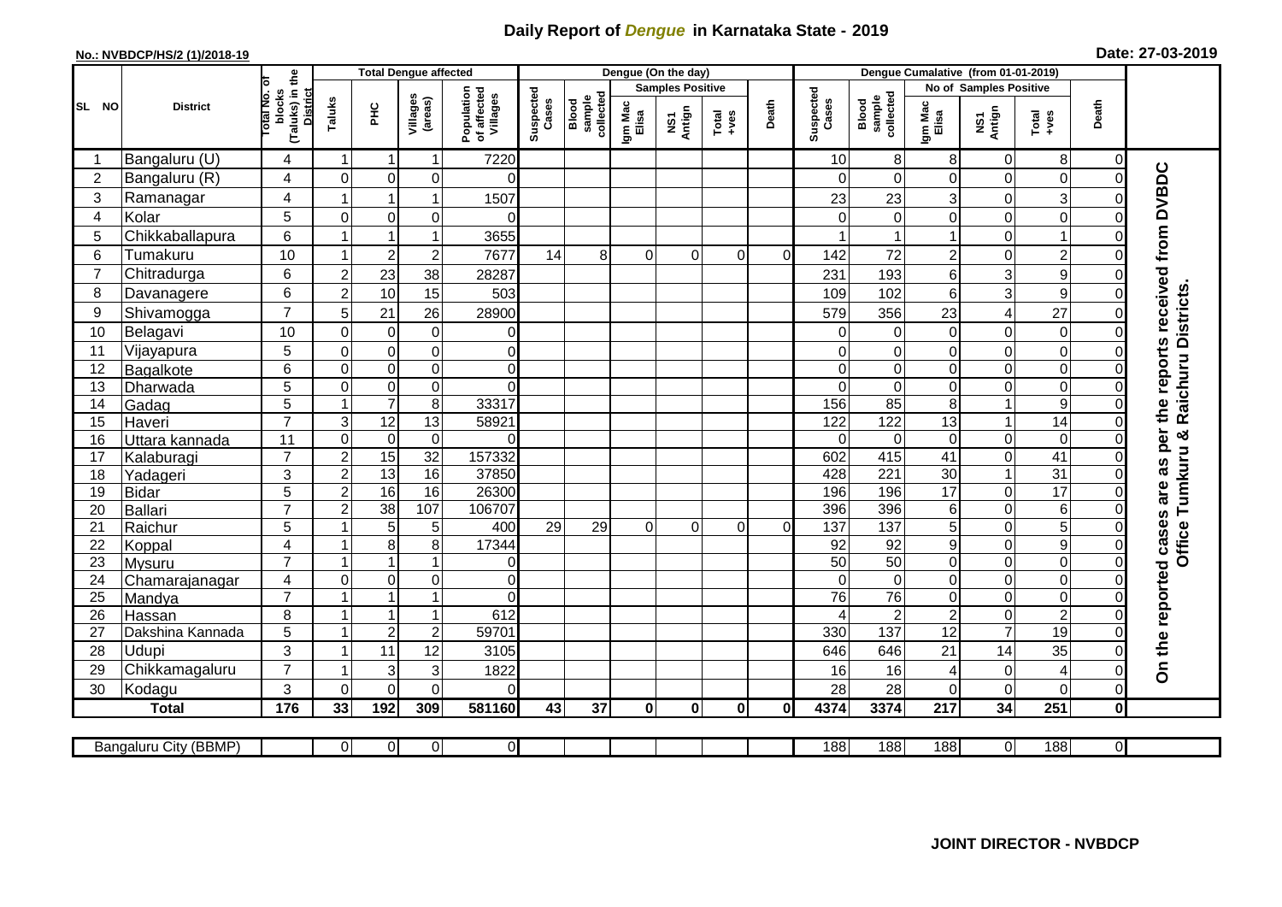## **Daily Report of** *Dengue* **in Karnataka State - 2019**

## **No.: NVBDCP/HS/2 (1)/2018-19 Date: 27-03-2019**

|                 |                       |                                          |                  | <b>Total Dengue affected</b> |                     |                                       |                    |                              |                  | Dengue (On the day)     |                  |              |                    |                              |                  |                        |                  |                |                                 |
|-----------------|-----------------------|------------------------------------------|------------------|------------------------------|---------------------|---------------------------------------|--------------------|------------------------------|------------------|-------------------------|------------------|--------------|--------------------|------------------------------|------------------|------------------------|------------------|----------------|---------------------------------|
|                 |                       |                                          |                  |                              |                     |                                       |                    |                              |                  | <b>Samples Positive</b> |                  |              |                    |                              |                  | No of Samples Positive |                  |                |                                 |
| SL NO           | <b>District</b>       | (Taluks) in the<br>otal No. ol<br>blocks | Taluks           | ΞÉ                           | Villages<br>(areas) | Population<br>of affected<br>Villages | Suspected<br>Cases | Blood<br>sample<br>collected | Igm Mac<br>Elisa | NS1<br>Antign           | $Tota$<br>$+ves$ | Death        | Suspected<br>Cases | collected<br>sample<br>Blood | Igm Mac<br>Elisa | NS1<br>Antign          | Total<br>+ves    | Death          |                                 |
|                 | Bangaluru (U)         | 4                                        | $\overline{1}$   | -1                           | $\mathbf{1}$        | 7220                                  |                    |                              |                  |                         |                  |              | 10                 | 8                            | 8                | 0                      | $\bf 8$          | 0              |                                 |
| $\overline{2}$  | Bangaluru (R)         | $\overline{4}$                           | $\overline{0}$   | $\mathbf 0$                  | 0                   | $\Omega$                              |                    |                              |                  |                         |                  |              | $\Omega$           | $\mathbf 0$                  | $\Omega$         | 0                      | $\mathbf 0$      | $\mathbf 0$    |                                 |
| 3               | Ramanagar             | 4                                        |                  | $\overline{1}$               | $\mathbf{1}$        | 1507                                  |                    |                              |                  |                         |                  |              | 23                 | 23                           | 3                | 0                      | $\overline{3}$   | $\Omega$       | the reports received from DVBDC |
| $\overline{4}$  | Kolar                 | 5                                        | $\overline{0}$   | $\mathbf 0$                  | $\mathbf 0$         | $\Omega$                              |                    |                              |                  |                         |                  |              | $\Omega$           | $\overline{0}$               | $\Omega$         | $\mathbf 0$            | $\overline{0}$   | $\mathbf 0$    |                                 |
| 5               | Chikkaballapura       | 6                                        | $\mathbf{1}$     | $\overline{1}$               | $\mathbf{1}$        | 3655                                  |                    |                              |                  |                         |                  |              |                    |                              |                  | 0                      | $\mathbf{1}$     | $\mathbf 0$    |                                 |
| 6               | Tumakuru              | 10                                       | $\overline{1}$   | $\overline{2}$               | $\boldsymbol{2}$    | 7677                                  | 14                 | 8                            | 0                | $\Omega$                | $\Omega$         | $\Omega$     | 142                | 72                           | $\overline{c}$   | 0                      | $\overline{c}$   | $\Omega$       |                                 |
| $\overline{7}$  | Chitradurga           | 6                                        | $\overline{2}$   | 23                           | 38                  | 28287                                 |                    |                              |                  |                         |                  |              | 231                | 193                          | 6                | 3                      | $\boldsymbol{9}$ | $\Omega$       |                                 |
| 8               | Davanagere            | 6                                        | $\overline{2}$   | 10                           | 15                  | 503                                   |                    |                              |                  |                         |                  |              | 109                | 102                          | 6                | 3                      | $\mathsf g$      | $\Omega$       |                                 |
| 9               | Shivamogga            | $\overline{7}$                           | 5                | 21                           | 26                  | 28900                                 |                    |                              |                  |                         |                  |              | 579                | 356                          | 23               | 4                      | 27               | $\Omega$       | Raichuru Districts              |
| 10              | Belagavi              | 10                                       | $\Omega$         | $\mathbf 0$                  | $\pmb{0}$           | $\mathbf 0$                           |                    |                              |                  |                         |                  |              | $\Omega$           | $\Omega$                     | $\Omega$         | 0                      | $\mathbf 0$      | $\Omega$       |                                 |
| 11              | Vijayapura            | 5                                        | $\mathbf 0$      | $\pmb{0}$                    | $\mathbf 0$         | $\overline{0}$                        |                    |                              |                  |                         |                  |              | 0                  | $\mathbf 0$                  | 0                | 0                      | $\overline{0}$   | C              |                                 |
| 12              | Bagalkote             | 6                                        | $\Omega$         | $\pmb{0}$                    | $\overline{0}$      | $\Omega$                              |                    |                              |                  |                         |                  |              | $\Omega$           | $\mathbf 0$                  | $\Omega$         | $\mathbf 0$            | $\overline{0}$   | $\Omega$       |                                 |
| 13              | Dharwada              | $\overline{5}$                           | $\mathbf 0$      | $\overline{0}$               | $\overline{0}$      | $\overline{0}$                        |                    |                              |                  |                         |                  |              | $\Omega$           | $\mathbf 0$                  | 0                | $\overline{0}$         | $\overline{0}$   | $\overline{0}$ |                                 |
| 14              | Gadag                 | 5                                        | $\mathbf{1}$     | $\overline{7}$               | $\overline{8}$      | 33317                                 |                    |                              |                  |                         |                  |              | 156                | $\overline{85}$              | 8                | $\mathbf{1}$           | 9                | $\Omega$       |                                 |
| 15              | Haveri                | $\overline{7}$                           | 3                | $\overline{12}$              | 13                  | 58921                                 |                    |                              |                  |                         |                  |              | 122                | 122                          | 13               | $\overline{1}$         | 14               | $\Omega$       |                                 |
| 16              | Uttara kannada        | 11                                       | $\mathbf 0$      | $\mathbf 0$                  | $\mathbf 0$         | $\Omega$                              |                    |                              |                  |                         |                  |              | $\Omega$           | $\Omega$                     | $\mathbf 0$      | 0                      | $\mathbf 0$      | $\Omega$       | are as per<br>Tumkuru &         |
| 17              | Kalaburagi            | $\overline{7}$                           | $\overline{2}$   | 15                           | 32                  | 157332                                |                    |                              |                  |                         |                  |              | 602                | 415                          | 41               | 0                      | 41               | $\Omega$       |                                 |
| 18              | Yadageri              | 3                                        | $\overline{2}$   | 13                           | 16                  | 37850                                 |                    |                              |                  |                         |                  |              | 428                | 221                          | 30               | $\mathbf{1}$           | 31               | $\Omega$       |                                 |
| 19              | <b>Bidar</b>          | 5                                        | $\boldsymbol{2}$ | 16                           | 16                  | 26300                                 |                    |                              |                  |                         |                  |              | 196                | 196                          | 17               | 0                      | $\overline{17}$  | $\mathbf 0$    |                                 |
| 20              | Ballari               | $\overline{7}$                           | $\overline{2}$   | 38                           | 107                 | 106707                                |                    |                              |                  |                         |                  |              | 396                | 396                          | 6                | 0                      | $\overline{6}$   | $\mathsf{C}$   |                                 |
| 21              | Raichur               | 5                                        |                  | 5                            | $\sqrt{5}$          | 400                                   | 29                 | 29                           | 0                | 0                       | $\Omega$         | $\Omega$     | 137                | 137                          | 5                | 0                      | $\overline{5}$   | $\Omega$       | <b>Office</b>                   |
| 22              | Koppal                | $\overline{4}$                           |                  | 8                            | $\overline{8}$      | 17344                                 |                    |                              |                  |                         |                  |              | 92                 | 92                           | 9                | $\mathbf 0$            | $\overline{9}$   | $\overline{0}$ |                                 |
| 23              | Mysuru                | $\overline{7}$                           | -1               | $\overline{1}$               | $\mathbf{1}$        | $\overline{0}$                        |                    |                              |                  |                         |                  |              | $\overline{50}$    | 50                           | 0                | 0                      | $\overline{0}$   | $\mathbf 0$    |                                 |
| 24              | Chamarajanagar        | $\overline{4}$                           | $\Omega$         | $\pmb{0}$                    | $\overline{0}$      | $\overline{0}$                        |                    |                              |                  |                         |                  |              | $\Omega$           | $\mathbf 0$                  | $\mathbf 0$      | 0                      | $\overline{0}$   | $\mathbf 0$    |                                 |
| $\overline{25}$ | Mandya                | $\overline{7}$                           |                  | $\overline{1}$               | $\overline{1}$      | $\Omega$                              |                    |                              |                  |                         |                  |              | $\overline{76}$    | 76                           | 0                | 0                      | $\overline{0}$   | 0              |                                 |
| 26              | Hassan                | 8                                        | $\overline{1}$   | $\overline{1}$               | $\mathbf{1}$        | 612                                   |                    |                              |                  |                         |                  |              |                    | 2                            | $\overline{c}$   | 0                      | $\overline{2}$   | $\mathbf 0$    |                                 |
| 27              | Dakshina Kannada      | 5                                        | $\overline{1}$   | $\overline{2}$               | $\boldsymbol{2}$    | 59701                                 |                    |                              |                  |                         |                  |              | 330                | 137                          | $\overline{12}$  | $\overline{7}$         | 19               | $\mathbf 0$    |                                 |
| 28              | Udupi                 | 3<br>$\overline{7}$                      | -1               | 11                           | 12                  | 3105                                  |                    |                              |                  |                         |                  |              | 646                | 646                          | 21               | 14                     | 35               | $\Omega$       | On the reported cases           |
| 29              | Chikkamagaluru        |                                          |                  | 3                            | 3                   | 1822                                  |                    |                              |                  |                         |                  |              | 16                 | 16                           | 4                | 0                      | 4                | $\Omega$       |                                 |
| 30              | Kodagu                | 3                                        | $\Omega$         | $\Omega$                     | 0                   | $\Omega$                              |                    |                              |                  |                         |                  |              | 28                 | 28                           | $\Omega$         | 0                      | $\overline{0}$   | $\Omega$       |                                 |
|                 | <b>Total</b>          | 176                                      | 33               | 192                          | 309                 | 581160                                | 43                 | 37                           | $\mathbf{0}$     | $\mathbf{0}$            | $\mathbf{0}$     | $\mathbf{0}$ | 4374               | 3374                         | 217              | 34                     | 251              | $\bf{0}$       |                                 |
|                 | Bangaluru City (BBMP) |                                          | $\Omega$         | $\overline{0}$               | $\overline{0}$      | $\overline{O}$                        |                    |                              |                  |                         |                  |              | 188                | 188                          | 188              | $\overline{0}$         | 188              | $\overline{0}$ |                                 |